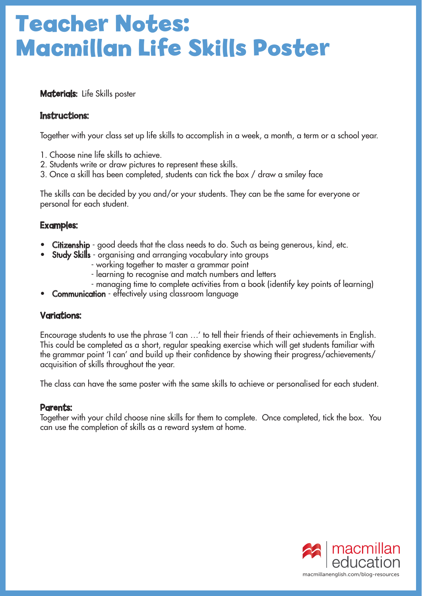# **Teacher Notes: Macmillan Life Skills Poster**

Materials: Life Skills poster

## Instructions:

Together with your class set up life skills to accomplish in a week, a month, a term or a school year.

- 1. Choose nine life skills to achieve.
- 2. Students write or draw pictures to represent these skills.
- 3. Once a skill has been completed, students can tick the box / draw a smiley face

The skills can be decided by you and/or your students. They can be the same for everyone or personal for each student.

### Examples:

- Citizenship good deeds that the class needs to do. Such as being generous, kind, etc.
- Study Skills organising and arranging vocabulary into groups
	- working together to master a grammar point
		- learning to recognise and match numbers and letters
	- managing time to complete activities from a book (identify key points of learning)
- **Communication** effectively using classroom language

### Variations:

Encourage students to use the phrase 'I can …' to tell their friends of their achievements in English. This could be completed as a short, regular speaking exercise which will get students familiar with the grammar point 'I can' and build up their confidence by showing their progress/achievements/ acquisition of skills throughout the year.

The class can have the same poster with the same skills to achieve or personalised for each student.

#### Parents:

Together with your child choose nine skills for them to complete. Once completed, tick the box. You can use the completion of skills as a reward system at home.